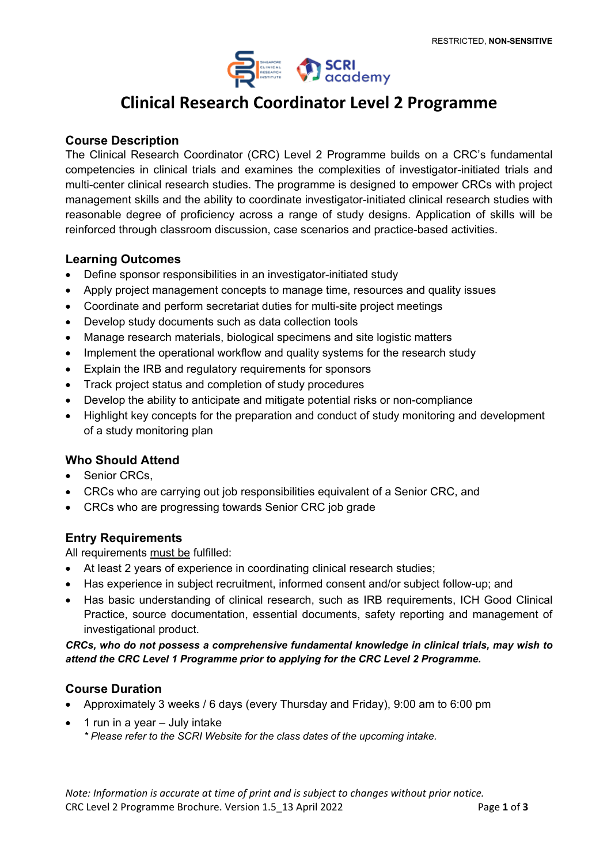

# **Clinical Research Coordinator Level 2 Programme**

#### **Course Description**

The Clinical Research Coordinator (CRC) Level 2 Programme builds on a CRC's fundamental competencies in clinical trials and examines the complexities of investigator-initiated trials and multi-center clinical research studies. The programme is designed to empower CRCs with project management skills and the ability to coordinate investigator-initiated clinical research studies with reasonable degree of proficiency across a range of study designs. Application of skills will be reinforced through classroom discussion, case scenarios and practice-based activities.

#### **Learning Outcomes**

- Define sponsor responsibilities in an investigator-initiated study
- Apply project management concepts to manage time, resources and quality issues
- Coordinate and perform secretariat duties for multi-site project meetings
- Develop study documents such as data collection tools
- Manage research materials, biological specimens and site logistic matters
- Implement the operational workflow and quality systems for the research study
- Explain the IRB and regulatory requirements for sponsors
- Track project status and completion of study procedures
- Develop the ability to anticipate and mitigate potential risks or non-compliance
- Highlight key concepts for the preparation and conduct of study monitoring and development of a study monitoring plan

### **Who Should Attend**

- Senior CRCs,
- CRCs who are carrying out job responsibilities equivalent of a Senior CRC, and
- CRCs who are progressing towards Senior CRC job grade

### **Entry Requirements**

All requirements must be fulfilled:

- At least 2 years of experience in coordinating clinical research studies;
- Has experience in subject recruitment, informed consent and/or subject follow-up; and
- Has basic understanding of clinical research, such as IRB requirements, ICH Good Clinical Practice, source documentation, essential documents, safety reporting and management of investigational product.

*CRCs, who do not possess a comprehensive fundamental knowledge in clinical trials, may wish to attend the CRC Level 1 Programme prior to applying for the CRC Level 2 Programme.*

#### **Course Duration**

- Approximately 3 weeks / 6 days (every Thursday and Friday), 9:00 am to 6:00 pm
- 1 run in a year July intake *\* Please refer to the SCRI Website for the class dates of the upcoming intake.*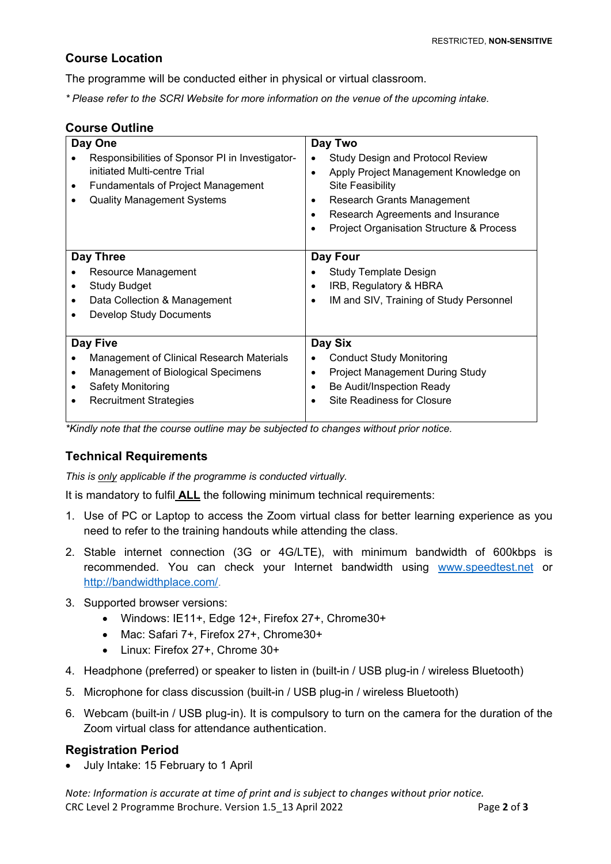## **Course Location**

The programme will be conducted either in physical or virtual classroom.

*\* Please refer to the SCRI Website for more information on the venue of the upcoming intake.*

#### **Course Outline**

| Day One                                                                                                                                                           | Day Two                                                                                                                                                                                                                                                 |
|-------------------------------------------------------------------------------------------------------------------------------------------------------------------|---------------------------------------------------------------------------------------------------------------------------------------------------------------------------------------------------------------------------------------------------------|
| Responsibilities of Sponsor PI in Investigator-<br>initiated Multi-centre Trial<br><b>Fundamentals of Project Management</b><br><b>Quality Management Systems</b> | <b>Study Design and Protocol Review</b><br>٠<br>Apply Project Management Knowledge on<br>$\bullet$<br>Site Feasibility<br>Research Grants Management<br>٠<br>Research Agreements and Insurance<br>$\bullet$<br>Project Organisation Structure & Process |
| Day Three                                                                                                                                                         | Day Four                                                                                                                                                                                                                                                |
| Resource Management                                                                                                                                               | <b>Study Template Design</b>                                                                                                                                                                                                                            |
| <b>Study Budget</b>                                                                                                                                               | IRB, Regulatory & HBRA<br>٠                                                                                                                                                                                                                             |
| Data Collection & Management                                                                                                                                      | IM and SIV, Training of Study Personnel<br>$\bullet$                                                                                                                                                                                                    |
| <b>Develop Study Documents</b>                                                                                                                                    |                                                                                                                                                                                                                                                         |
|                                                                                                                                                                   |                                                                                                                                                                                                                                                         |
| Day Five                                                                                                                                                          | Day Six                                                                                                                                                                                                                                                 |
| <b>Management of Clinical Research Materials</b>                                                                                                                  | <b>Conduct Study Monitoring</b>                                                                                                                                                                                                                         |
| Management of Biological Specimens                                                                                                                                | Project Management During Study<br>٠                                                                                                                                                                                                                    |
| Safety Monitoring                                                                                                                                                 | Be Audit/Inspection Ready<br>٠                                                                                                                                                                                                                          |
| <b>Recruitment Strategies</b>                                                                                                                                     | Site Readiness for Closure                                                                                                                                                                                                                              |

*\*Kindly note that the course outline may be subjected to changes without prior notice.*

## **Technical Requirements**

*This is only applicable if the programme is conducted virtually.*

It is mandatory to fulfil **ALL** the following minimum technical requirements:

- 1. Use of PC or Laptop to access the Zoom virtual class for better learning experience as you need to refer to the training handouts while attending the class.
- 2. Stable internet connection (3G or 4G/LTE), with minimum bandwidth of 600kbps is recommended. You can check your Internet bandwidth using [www.speedtest.net](http://www.speedtest.net/) or [http://bandwidthplace.com/.](http://bandwidthplace.com/)
- 3. Supported browser versions:
	- Windows: IE11+, Edge 12+, Firefox 27+, Chrome30+
	- Mac: Safari 7+, Firefox 27+, Chrome30+
	- Linux: Firefox 27+, Chrome 30+
- 4. Headphone (preferred) or speaker to listen in (built-in / USB plug-in / wireless Bluetooth)
- 5. Microphone for class discussion (built-in / USB plug-in / wireless Bluetooth)
- 6. Webcam (built-in / USB plug-in). It is compulsory to turn on the camera for the duration of the Zoom virtual class for attendance authentication.

### **Registration Period**

• July Intake: 15 February to 1 April

*Note: Information is accurate at time of print and is subject to changes without prior notice.* CRC Level 2 Programme Brochure. Version 1.5\_13 April 2022 Page **2** of **3**